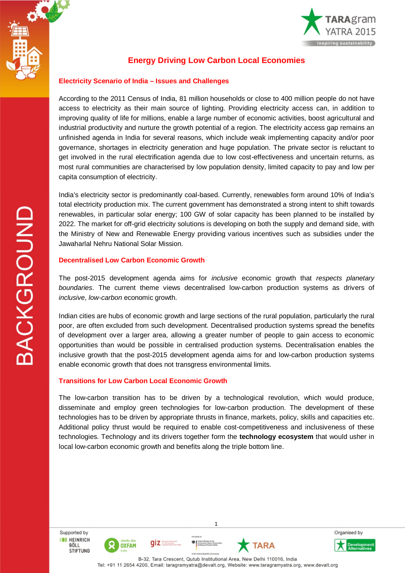

**BACKGROUND** 



# **Energy Driving Low Carbon Local Economies**

## **Electricity Scenario of India – Issues and Challenges**

According to the 2011 Census of India, 81 million households or close to 400 million people do not have access to electricity as their main source of lighting. Providing electricity access can, in addition to improving quality of life for millions, enable a large number of economic activities, boost agricultural and industrial productivity and nurture the growth potential of a region. The electricity access gap remains an unfinished agenda in India for several reasons, which include weak implementing capacity and/or poor governance, shortages in electricity generation and huge population. The private sector is reluctant to get involved in the rural electrification agenda due to low cost-effectiveness and uncertain returns, as most rural communities are characterised by low population density, limited capacity to pay and low per capita consumption of electricity.

India's electricity sector is predominantly coal-based. Currently, renewables form around 10% of India's total electricity production mix. The current government has demonstrated a strong intent to shift towards renewables, in particular solar energy; 100 GW of solar capacity has been planned to be installed by 2022. The market for off-grid electricity solutions is developing on both the supply and demand side, with the Ministry of New and Renewable Energy providing various incentives such as subsidies under the Jawaharlal Nehru National Solar Mission.

### **Decentralised Low Carbon Economic Growth**

The post-2015 development agenda aims for *inclusive* economic growth that *respects planetary boundaries*. The current theme views decentralised low-carbon production systems as drivers of *inclusive*, *low-carbon* economic growth.

Indian cities are hubs of economic growth and large sections of the rural population, particularly the rural poor, are often excluded from such development. Decentralised production systems spread the benefits of development over a larger area, allowing a greater number of people to gain access to economic opportunities than would be possible in centralised production systems. Decentralisation enables the inclusive growth that the post-2015 development agenda aims for and low-carbon production systems enable economic growth that does not transgress environmental limits.

## **Transitions for Low Carbon Local Economic Growth**

The low-carbon transition has to be driven by a technological revolution, which would produce, disseminate and employ green technologies for low-carbon production. The development of these technologies has to be driven by appropriate thrusts in finance, markets, policy, skills and capacities etc. Additional policy thrust would be required to enable cost-competitiveness and inclusiveness of these technologies. Technology and its drivers together form the **technology ecosystem** that would usher in local low-carbon economic growth and benefits along the triple bottom line.

Supported by **THE HEINRICH** BÖLL

**STIFTUNG** 







1

 $\bigoplus$   $\bigcup_{i=1}^{r_{\text{min}}}$